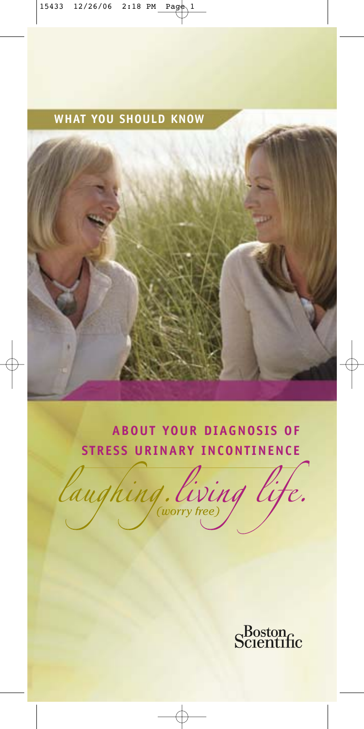### **WHAT YOU SHOULD KNOW**

### **ABOUT YOUR DIAGNOSIS OF STRESS URINARY INCONTINENCE**

laughing. living lig

Scientific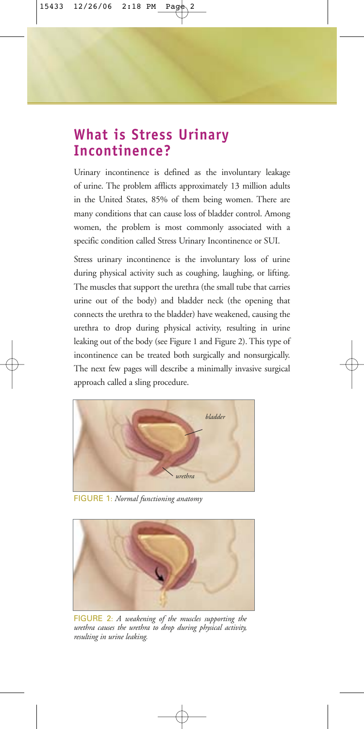### **What is Stress Urinary Incontinence?**

Urinary incontinence is defined as the involuntary leakage of urine. The problem afflicts approximately 13 million adults in the United States, 85% of them being women. There are many conditions that can cause loss of bladder control. Among women, the problem is most commonly associated with a specific condition called Stress Urinary Incontinence or SUI.

Stress urinary incontinence is the involuntary loss of urine during physical activity such as coughing, laughing, or lifting. The muscles that support the urethra (the small tube that carries urine out of the body) and bladder neck (the opening that connects the urethra to the bladder) have weakened, causing the urethra to drop during physical activity, resulting in urine leaking out of the body (see Figure 1 and Figure 2). This type of incontinence can be treated both surgically and nonsurgically. The next few pages will describe a minimally invasive surgical approach called a sling procedure.



FIGURE 1: *Normal functioning anatomy*



FIGURE 2: *A weakening of the muscles supporting the urethra causes the urethra to drop during physical activity, resulting in urine leaking.*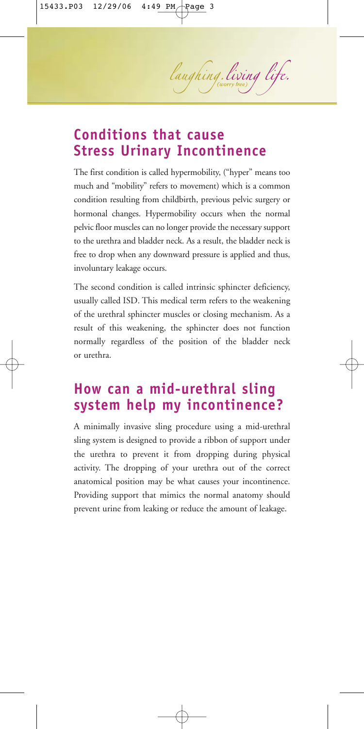laughing. living life.

### **Conditions that cause Stress Urinary Incontinence**

The first condition is called hypermobility, ("hyper" means too much and "mobility" refers to movement) which is a common condition resulting from childbirth, previous pelvic surgery or hormonal changes. Hypermobility occurs when the normal pelvic floor muscles can no longer provide the necessary support to the urethra and bladder neck. As a result, the bladder neck is free to drop when any downward pressure is applied and thus, involuntary leakage occurs.

The second condition is called intrinsic sphincter deficiency, usually called ISD. This medical term refers to the weakening of the urethral sphincter muscles or closing mechanism. As a result of this weakening, the sphincter does not function normally regardless of the position of the bladder neck or urethra.

### **How can a mid-urethral sling system help my incontinence?**

A minimally invasive sling procedure using a mid-urethral sling system is designed to provide a ribbon of support under the urethra to prevent it from dropping during physical activity. The dropping of your urethra out of the correct anatomical position may be what causes your incontinence. Providing support that mimics the normal anatomy should prevent urine from leaking or reduce the amount of leakage.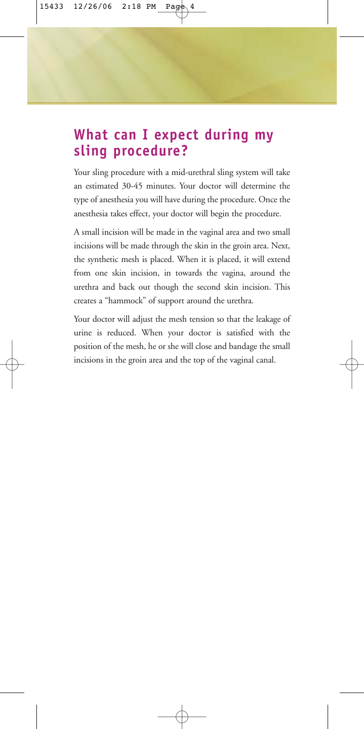### **What can I expect during my sling procedure?**

Your sling procedure with a mid-urethral sling system will take an estimated 30-45 minutes. Your doctor will determine the type of anesthesia you will have during the procedure. Once the anesthesia takes effect, your doctor will begin the procedure.

A small incision will be made in the vaginal area and two small incisions will be made through the skin in the groin area. Next, the synthetic mesh is placed. When it is placed, it will extend from one skin incision, in towards the vagina, around the urethra and back out though the second skin incision. This creates a "hammock" of support around the urethra.

Your doctor will adjust the mesh tension so that the leakage of urine is reduced. When your doctor is satisfied with the position of the mesh, he or she will close and bandage the small incisions in the groin area and the top of the vaginal canal.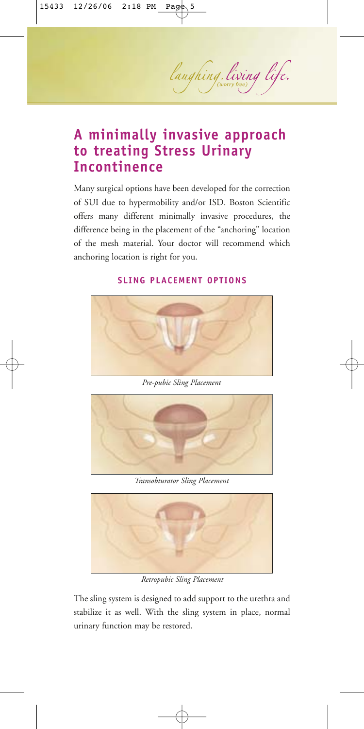# laughing. living life.

### **A minimally invasive approach to treating Stress Urinary Incontinence**

Many surgical options have been developed for the correction of SUI due to hypermobility and/or ISD. Boston Scientific offers many different minimally invasive procedures, the difference being in the placement of the "anchoring" location of the mesh material. Your doctor will recommend which anchoring location is right for you.



#### **SLING PLACEMENT OPTIONS**

*Pre-pubic Sling Placement*



*Transobturator Sling Placement*



*Retropubic Sling Placement*

The sling system is designed to add support to the urethra and stabilize it as well. With the sling system in place, normal urinary function may be restored.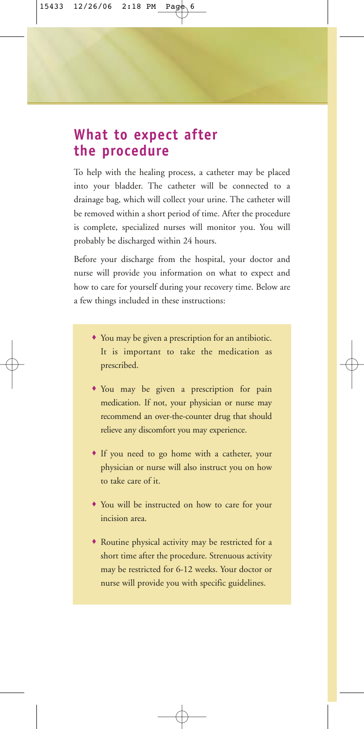### **What to expect after the procedure**

To help with the healing process, a catheter may be placed into your bladder. The catheter will be connected to a drainage bag, which will collect your urine. The catheter will be removed within a short period of time. After the procedure is complete, specialized nurses will monitor you. You will probably be discharged within 24 hours.

Before your discharge from the hospital, your doctor and nurse will provide you information on what to expect and how to care for yourself during your recovery time. Below are a few things included in these instructions:

- ♦ You may be given a prescription for an antibiotic. It is important to take the medication as prescribed.
- ♦ You may be given a prescription for pain medication. If not, your physician or nurse may recommend an over-the-counter drug that should relieve any discomfort you may experience.
- ♦ If you need to go home with a catheter, your physician or nurse will also instruct you on how to take care of it.
- ♦ You will be instructed on how to care for your incision area.
- ♦ Routine physical activity may be restricted for a short time after the procedure. Strenuous activity may be restricted for 6-12 weeks. Your doctor or nurse will provide you with specific guidelines.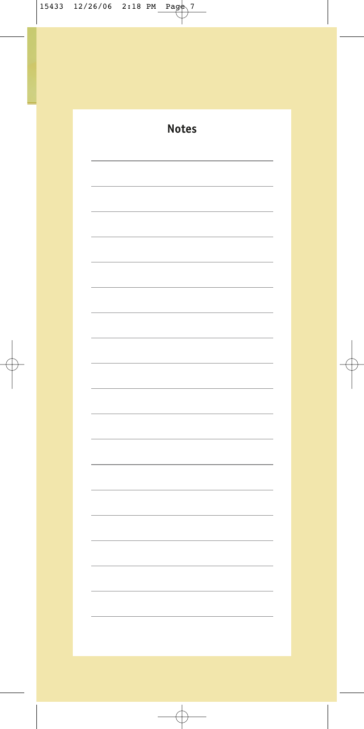| <b>Notes</b> |
|--------------|
|              |
|              |
|              |
|              |
|              |
|              |
|              |
|              |
|              |
|              |
|              |
|              |
|              |
|              |
|              |
|              |
|              |
|              |
|              |
|              |
|              |
|              |
|              |
|              |
|              |
|              |
|              |
|              |
|              |
|              |